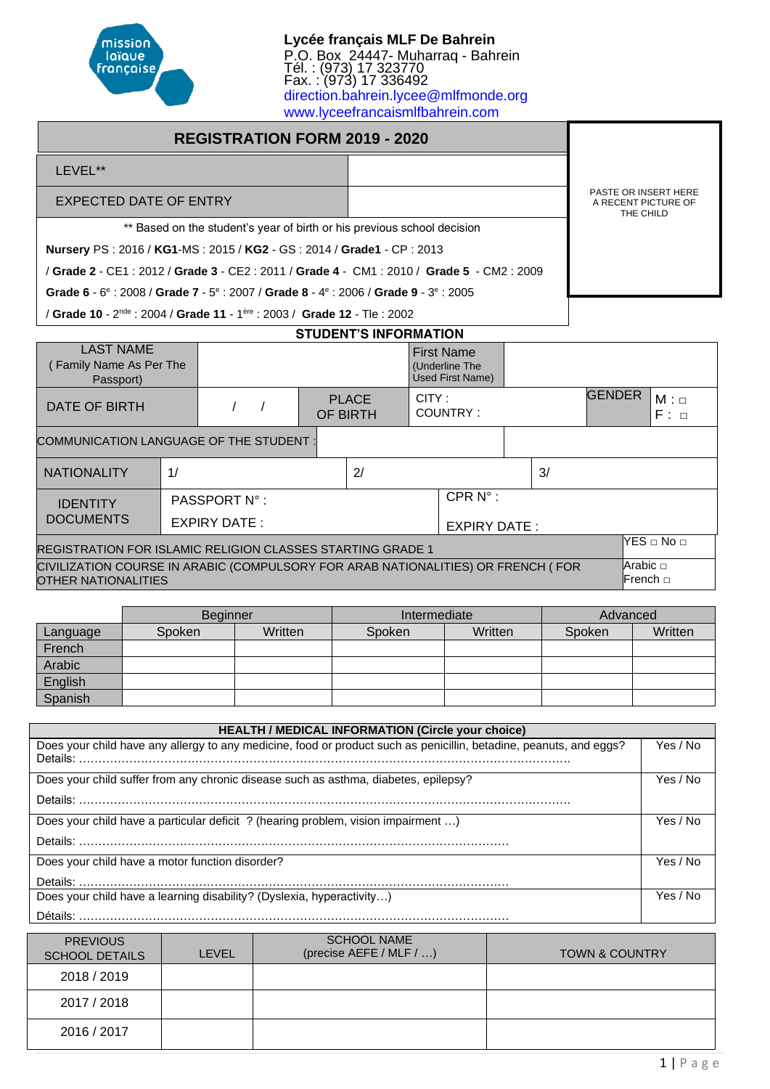

**Lycée français MLF De Bahrein** P.O. Box 24447- Muharraq - Bahrein Tél. : (973) 17 323770 Fax. : (973) 17 336492 [direction.bahrein.lycee@mlfmonde.org](mailto:direction.bahrein.lycee@mlfmonde.org) [www.lyceefrancaismlfbahrein.com](http://www.lyceefrancaismlfbahrein.com/)

# **REGISTRATION FORM 2019 - 2020**

#### LEVEL\*\*

#### EXPECTED DATE OF ENTRY

\*\* Based on the student's year of birth or his previous school decision

**Nursery** PS : 2016 / **KG1**-MS : 2015 / **KG2** - GS : 2014 / **Grade1** - CP : 2013

/ **Grade 2** - CE1 : 2012 / **Grade 3** - CE2 : 2011 / **Grade 4** - CM1 : 2010 / **Grade 5** - CM2 : 2009

**Grade 6 - 6<sup>e</sup> : 2008 / Grade 7 - 5<sup>e</sup> : 2007 / Grade 8 - 4<sup>e</sup> : 2006 / Grade 9 - 3<sup>e</sup> : 2005** 

/ **Grade 10** - 2<sup>nde</sup> : 2004 / **Grade 11** - 1<sup>ère</sup> : 2003 / **Grade 12** - Tle : 2002

# **STUDENT'S INFORMATION**

| <b>LAST NAME</b><br>Family Name As Per The<br>Passport)                                                 |    |              |  |  |                          |                            | <b>First Name</b><br>(Underline The<br>Used First Name) |  |    |               |                        |
|---------------------------------------------------------------------------------------------------------|----|--------------|--|--|--------------------------|----------------------------|---------------------------------------------------------|--|----|---------------|------------------------|
| DATE OF BIRTH                                                                                           |    |              |  |  | <b>PLACE</b><br>OF BIRTH | CITY:                      | COUNTRY:                                                |  |    | <b>GENDER</b> | $M: \Box$<br>$F: \Box$ |
| COMMUNICATION LANGUAGE OF THE STUDENT:                                                                  |    |              |  |  |                          |                            |                                                         |  |    |               |                        |
| <b>NATIONALITY</b>                                                                                      | 1/ |              |  |  | 2/                       |                            |                                                         |  | 3/ |               |                        |
| <b>IDENTITY</b>                                                                                         |    | PASSPORT N°: |  |  |                          |                            | CPR $N^{\circ}$ :                                       |  |    |               |                        |
| <b>DOCUMENTS</b>                                                                                        |    | EXPIRY DATE: |  |  |                          | <b>EXPIRY DATE:</b>        |                                                         |  |    |               |                        |
| REGISTRATION FOR ISLAMIC RELIGION CLASSES STARTING GRADE 1                                              |    |              |  |  |                          |                            | $NES \Box No \Box$                                      |  |    |               |                        |
| CIVILIZATION COURSE IN ARABIC (COMPULSORY FOR ARAB NATIONALITIES) OR FRENCH (FOR<br>OTHER NATIONALITIES |    |              |  |  |                          | Arabic $\Box$<br>lFrench ⊟ |                                                         |  |    |               |                        |

|          | <b>Beginner</b> |         | Intermediate |         | Advanced |         |
|----------|-----------------|---------|--------------|---------|----------|---------|
| Language | Spoken          | Written | Spoken       | Written | Spoken   | Written |
| French   |                 |         |              |         |          |         |
| Arabic   |                 |         |              |         |          |         |
| English  |                 |         |              |         |          |         |
| Spanish  |                 |         |              |         |          |         |

| <b>HEALTH / MEDICAL INFORMATION (Circle your choice)</b>                                                           |          |
|--------------------------------------------------------------------------------------------------------------------|----------|
| Does your child have any allergy to any medicine, food or product such as penicillin, betadine, peanuts, and eggs? | Yes / No |
| Does your child suffer from any chronic disease such as asthma, diabetes, epilepsy?                                | Yes / No |
| Does your child have a particular deficit ? (hearing problem, vision impairment )                                  | Yes / No |
| Does your child have a motor function disorder?                                                                    | Yes / No |
| Does your child have a learning disability? (Dyslexia, hyperactivity)<br>Détails:                                  | Yes / No |

| <b>PREVIOUS</b><br><b>SCHOOL DETAILS</b> | LEVEL | <b>SCHOOL NAME</b><br>(precise AEFE / MLF / ) | <b>TOWN &amp; COUNTRY</b> |
|------------------------------------------|-------|-----------------------------------------------|---------------------------|
| 2018 / 2019                              |       |                                               |                           |
| 2017 / 2018                              |       |                                               |                           |
| 2016 / 2017                              |       |                                               |                           |

PASTE OR INSERT HERE A RECENT PICTURE OF THE CHILD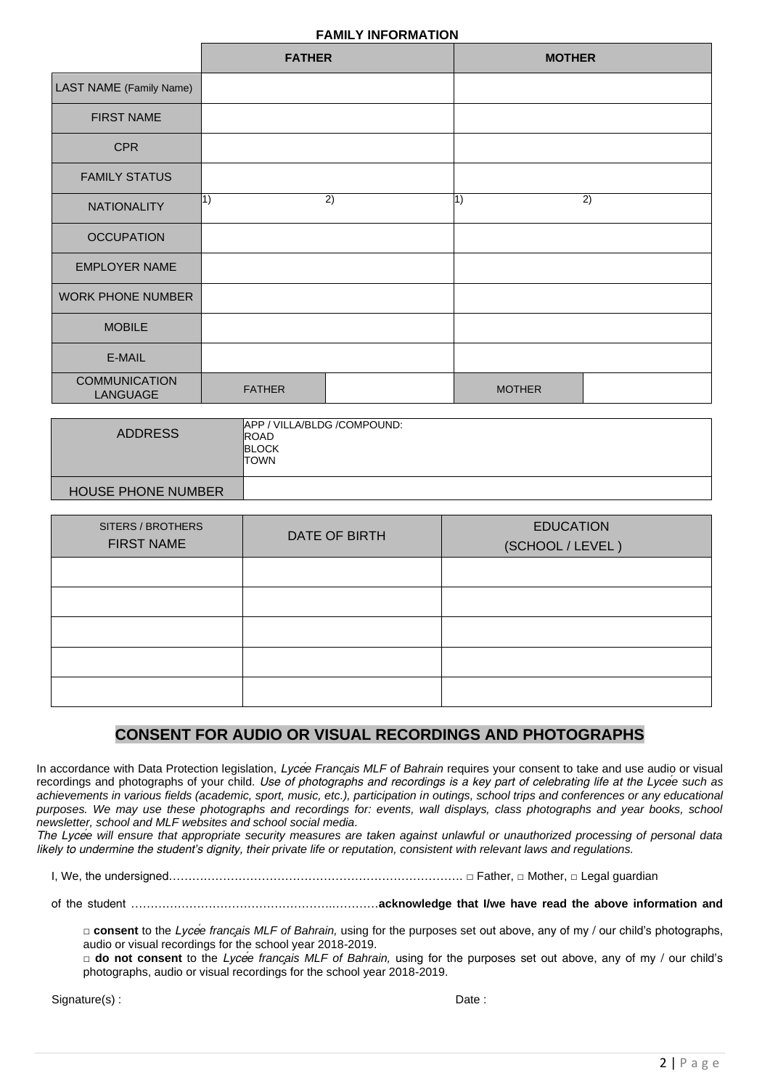## **FAMILY INFORMATION**

|                                         | <b>FATHER</b> |    | <b>MOTHER</b> |    |
|-----------------------------------------|---------------|----|---------------|----|
| LAST NAME (Family Name)                 |               |    |               |    |
| <b>FIRST NAME</b>                       |               |    |               |    |
| <b>CPR</b>                              |               |    |               |    |
| <b>FAMILY STATUS</b>                    |               |    |               |    |
| <b>NATIONALITY</b>                      | 1)            | 2) | $\vert 1)$    | 2) |
| <b>OCCUPATION</b>                       |               |    |               |    |
| <b>EMPLOYER NAME</b>                    |               |    |               |    |
| <b>WORK PHONE NUMBER</b>                |               |    |               |    |
| <b>MOBILE</b>                           |               |    |               |    |
| E-MAIL                                  |               |    |               |    |
| <b>COMMUNICATION</b><br><b>LANGUAGE</b> | <b>FATHER</b> |    | <b>MOTHER</b> |    |

| <b>ADDRESS</b>            | APP / VILLA/BLDG / COMPOUND:<br>ROAD<br><b>BLOCK</b><br><b>TOWN</b> |
|---------------------------|---------------------------------------------------------------------|
| <b>HOUSE PHONE NUMBER</b> |                                                                     |

| SITERS / BROTHERS<br><b>FIRST NAME</b> | DATE OF BIRTH | <b>EDUCATION</b><br>(SCHOOL / LEVEL) |
|----------------------------------------|---------------|--------------------------------------|
|                                        |               |                                      |
|                                        |               |                                      |
|                                        |               |                                      |
|                                        |               |                                      |
|                                        |               |                                      |

# **CONSENT FOR AUDIO OR VISUAL RECORDINGS AND PHOTOGRAPHS**

In accordance with Data Protection legislation, *Lycée Français MLF of Bahrain* requires your consent to take and use audio or visual recordings and photographs of your child. *Use of photographs and recordings is a key part of celebrating life at the Lycée such as achievements in various fields (academic, sport, music, etc.), participation in outings, school trips and conferences or any educational purposes. We may use these photographs and recordings for: events, wall displays, class photographs and year books, school newsletter, school and MLF websites and school social media.*

*The Lycée will ensure that appropriate security measures are taken against unlawful or unauthorized processing of personal data likely to undermine the student's dignity, their private life or reputation, consistent with relevant laws and regulations.*

I, We, the undersigned…………………………………………………………………………………… □ Father, □ Mother, □ Legal guardian

of the student …………………………………………….…………**acknowledge that I/we have read the above information and**

□ **consent** to the *Lyce<sup>
i</sup>* enrigion *MLF* of Bahrain, using for the purposes set out above, any of my / our child's photographs, audio or visual recordings for the school year 2018-2019.

**□ do not consent** to the *Lycée français MLF of Bahrain,* using for the purposes set out above, any of my / our child's photographs, audio or visual recordings for the school year 2018-2019.

Signature(s) : Date : Date : Date : Date : Date : Date : Date : Date : Date : Date : Date : Date : Date : Date : Date : Date : Date : Date : Date : Date : Date : Date : Date : Date : Date : Date : Date : Date : Date : Date